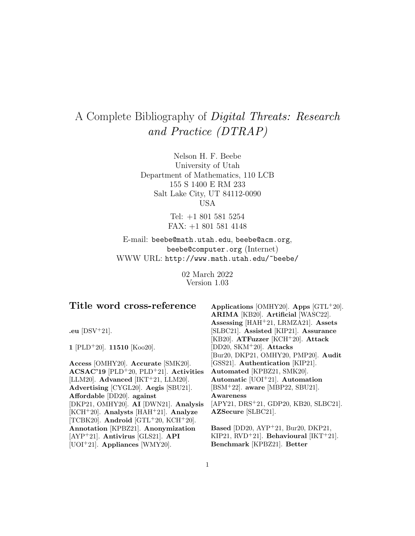# A Complete Bibliography of Digital Threats: Research and Practice (DTRAP)

Nelson H. F. Beebe University of Utah Department of Mathematics, 110 LCB 155 S 1400 E RM 233 Salt Lake City, UT 84112-0090 USA

> Tel: +1 801 581 5254 FAX: +1 801 581 4148

E-mail: beebe@math.utah.edu, beebe@acm.org, beebe@computer.org (Internet) WWW URL: http://www.math.utah.edu/~beebe/

> 02 March 2022 Version 1.03

# **Title word cross-reference**

**.eu** [DSV<sup>+</sup>21].

**1** [PLD<sup>+</sup>20]. **11510** [Koo20].

**Access** [OMHY20]. **Accurate** [SMK20]. **ACSAC'19** [PLD<sup>+</sup>20, PLD<sup>+</sup>21]. **Activities** [LLM20]. **Advanced** [IKT<sup>+</sup>21, LLM20]. **Advertising** [CYGL20]. **Aegis** [SBU21]. **Affordable** [DD20]. **against** [DKP21, OMHY20]. **AI** [DWN21]. **Analysis** [KCH<sup>+</sup>20]. **Analysts** [HAH<sup>+</sup>21]. **Analyze** [TCBK20]. **Android** [GTL<sup>+</sup>20, KCH<sup>+</sup>20]. **Annotation** [KPBZ21]. **Anonymization** [AYP<sup>+</sup>21]. **Antivirus** [GLS21]. **API** [UOI<sup>+</sup>21]. **Appliances** [WMY20].

**Applications** [OMHY20]. **Apps** [GTL<sup>+</sup>20]. **ARIMA** [KB20]. **Artificial** [WASC22]. **Assessing** [HAH<sup>+</sup>21, LRMZA21]. **Assets** [SLBC21]. **Assisted** [KIP21]. **Assurance** [KB20]. **ATFuzzer** [KCH<sup>+</sup>20]. **Attack** [DD20, SKM<sup>+</sup>20]. **Attacks** [Bur20, DKP21, OMHY20, PMP20]. **Audit** [GSS21]. **Authentication** [KIP21]. **Automated** [KPBZ21, SMK20]. **Automatic** [UOI<sup>+</sup>21]. **Automation** [BSM<sup>+</sup>22]. **aware** [MBP22, SBU21]. **Awareness** [APY21, DRS<sup>+</sup>21, GDP20, KB20, SLBC21]. **AZSecure** [SLBC21]. **Based** [DD20, AYP<sup>+</sup>21, Bur20, DKP21,

KIP21, RVD<sup>+</sup>21]. **Behavioural** [IKT<sup>+</sup>21]. **Benchmark** [KPBZ21]. **Better**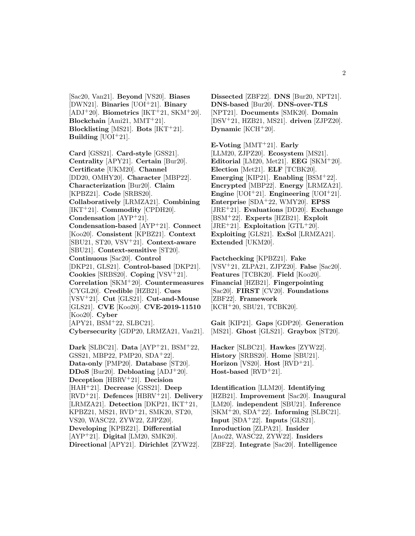[Sac20, Van21]. **Beyond** [VS20]. **Biases** [DWN21]. **Binaries** [UOI<sup>+</sup>21]. **Binary**  $[ADJ+20]$ . **Biometrics**  $[IKT+21, SKM+20]$ . **Blockchain** [Ami21, MMT<sup>+</sup>21]. **Blocklisting** [MS21]. **Bots** [IKT<sup>+</sup>21]. **Building**  $[UOI^+21]$ .

**Card** [GSS21]. **Card-style** [GSS21]. **Centrality** [APY21]. **Certain** [Bur20]. **Certificate** [UKM20]. **Channel** [DD20, OMHY20]. **Character** [MBP22]. **Characterization** [Bur20]. **Claim** [KPBZ21]. **Code** [SRBS20]. **Collaboratively** [LRMZA21]. **Combining** [IKT<sup>+</sup>21]. **Commodity** [CPDH20]. **Condensation** [AYP<sup>+</sup>21]. **Condensation-based** [AYP<sup>+</sup>21]. **Connect** [Koo20]. **Consistent** [KPBZ21]. **Context** [SBU21, ST20, VSV<sup>+</sup>21]. **Context-aware** [SBU21]. **Context-sensitive** [ST20]. **Continuous** [Sac20]. **Control** [DKP21, GLS21]. **Control-based** [DKP21]. **Cookies** [SRBS20]. **Coping** [VSV<sup>+</sup>21]. **Correlation** [SKM<sup>+</sup>20]. **Countermeasures** [CYGL20]. **Credible** [HZB21]. **Cues** [VSV<sup>+</sup>21]. **Cut** [GLS21]. **Cut-and-Mouse** [GLS21]. **CVE** [Koo20]. **CVE-2019-11510** [Koo20]. **Cyber** [APY21, BSM<sup>+</sup>22, SLBC21]. **Cybersecurity** [GDP20, LRMZA21, Van21]. **Dark** [SLBC21]. **Data** [AYP<sup>+</sup>21, BSM<sup>+</sup>22, GSS21, MBP22, PMP20, SDA<sup>+</sup>22]. **Data-only** [PMP20]. **Database** [ST20]. **DDoS** [Bur20]. **Debloating** [ADJ<sup>+</sup>20]. **Deception** [HBRV<sup>+</sup>21]. **Decision** [HAH<sup>+</sup>21]. **Decrease** [GSS21]. **Deep** [RVD<sup>+</sup>21]. **Defences** [HBRV<sup>+</sup>21]. **Delivery**

[LRMZA21]. **Detection** [DKP21, IKT<sup>+</sup>21, KPBZ21, MS21, RVD<sup>+</sup>21, SMK20, ST20, VS20, WASC22, ZYW22, ZJPZ20]. **Developing** [KPBZ21]. **Differential**

[AYP<sup>+</sup>21]. **Digital** [LM20, SMK20]. **Directional** [APY21]. **Dirichlet** [ZYW22].

**Dissected** [ZBF22]. **DNS** [Bur20, NPT21]. **DNS-based** [Bur20]. **DNS-over-TLS** [NPT21]. **Documents** [SMK20]. **Domain** [DSV<sup>+</sup>21, HZB21, MS21]. **driven** [ZJPZ20]. **Dynamic** [KCH<sup>+</sup>20].

**E-Voting** [MMT<sup>+</sup>21]. **Early** [LLM20, ZJPZ20]. **Ecosystem** [MS21]. **Editorial** [LM20, Met21]. **EEG** [SKM<sup>+</sup>20]. **Election** [Met21]. **ELF** [TCBK20]. **Emerging** [KIP21]. **Enabling** [BSM<sup>+</sup>22]. **Encrypted** [MBP22]. **Energy** [LRMZA21]. **Engine** [UOI<sup>+</sup>21]. **Engineering** [UOI<sup>+</sup>21]. **Enterprise** [SDA<sup>+</sup>22, WMY20]. **EPSS** [JRE<sup>+</sup>21]. **Evaluations** [DD20]. **Exchange** [BSM<sup>+</sup>22]. **Experts** [HZB21]. **Exploit** [JRE<sup>+</sup>21]. **Exploitation** [GTL<sup>+</sup>20]. **Exploiting** [GLS21]. **ExSol** [LRMZA21]. **Extended** [UKM20].

**Factchecking** [KPBZ21]. **Fake** [VSV<sup>+</sup>21, ZLPA21, ZJPZ20]. **False** [Sac20]. **Features** [TCBK20]. **Field** [Koo20]. **Financial** [HZB21]. **Fingerpointing** [Sac20]. **FIRST** [CV20]. **Foundations** [ZBF22]. **Framework** [KCH<sup>+</sup>20, SBU21, TCBK20].

**Gait** [KIP21]. **Gaps** [GDP20]. **Generation** [MS21]. **Ghost** [GLS21]. **Graybox** [ST20].

**Hacker** [SLBC21]. **Hawkes** [ZYW22]. **History** [SRBS20]. **Home** [SBU21]. **Horizon** [VS20]. **Host** [RVD<sup>+</sup>21]. **Host-based** [RVD<sup>+</sup>21].

**Identification** [LLM20]. **Identifying** [HZB21]. **Improvement** [Sac20]. **Inaugural** [LM20]. **independent** [SBU21]. **Inference** [SKM<sup>+</sup>20, SDA<sup>+</sup>22]. **Informing** [SLBC21]. **Input** [SDA<sup>+</sup>22]. **Inputs** [GLS21]. **Inroduction** [ZLPA21]. **Insider** [Ano22, WASC22, ZYW22]. **Insiders** [ZBF22]. **Integrate** [Sac20]. **Intelligence**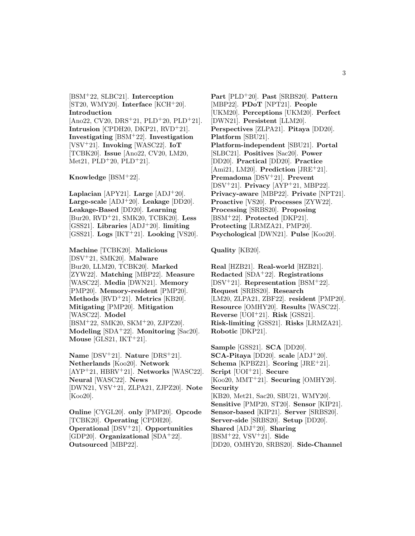[BSM<sup>+</sup>22, SLBC21]. **Interception** [ST20, WMY20]. **Interface** [KCH<sup>+</sup>20]. **Introduction**  $[Ano22, CV20, DRS^+21, PLD^+20, PLD^+21].$ **Intrusion** [CPDH20, DKP21, RVD<sup>+</sup>21]. **Investigating** [BSM<sup>+</sup>22]. **Investigation** [VSV<sup>+</sup>21]. **Invoking** [WASC22]. **IoT** [TCBK20]. **Issue** [Ano22, CV20, LM20, Met21, PLD<sup>+</sup>20, PLD<sup>+</sup>21].

**Knowledge** [BSM<sup>+</sup>22].

**Laplacian** [APY21]. **Large** [ADJ<sup>+</sup>20]. **Large-scale** [ADJ<sup>+</sup>20]. **Leakage** [DD20]. **Leakage-Based** [DD20]. **Learning** [Bur20, RVD<sup>+</sup>21, SMK20, TCBK20]. **Less** [GSS21]. **Libraries** [ADJ<sup>+</sup>20]. **limiting** [GSS21]. **Logs** [IKT<sup>+</sup>21]. **Looking** [VS20].

**Machine** [TCBK20]. **Malicious** [DSV<sup>+</sup>21, SMK20]. **Malware** [Bur20, LLM20, TCBK20]. **Marked** [ZYW22]. **Matching** [MBP22]. **Measure** [WASC22]. **Media** [DWN21]. **Memory** [PMP20]. **Memory-resident** [PMP20]. **Methods** [RVD<sup>+</sup>21]. **Metrics** [KB20]. **Mitigating** [PMP20]. **Mitigation** [WASC22]. **Model** [BSM<sup>+</sup>22, SMK20, SKM<sup>+</sup>20, ZJPZ20]. **Modeling** [SDA<sup>+</sup>22]. **Monitoring** [Sac20]. **Mouse** [GLS21, IKT<sup>+</sup>21].

**Name** [DSV<sup>+</sup>21]. **Nature** [DRS<sup>+</sup>21]. **Netherlands** [Koo20]. **Network** [AYP<sup>+</sup>21, HBRV<sup>+</sup>21]. **Networks** [WASC22]. **Neural** [WASC22]. **News** [DWN21, VSV<sup>+</sup>21, ZLPA21, ZJPZ20]. **Note** [Koo20].

**Online** [CYGL20]. **only** [PMP20]. **Opcode** [TCBK20]. **Operating** [CPDH20]. **Operational** [DSV<sup>+</sup>21]. **Opportunities** [GDP20]. **Organizational** [SDA<sup>+</sup>22]. **Outsourced** [MBP22].

**Part** [PLD<sup>+</sup>20]. **Past** [SRBS20]. **Pattern** [MBP22]. **PDoT** [NPT21]. **People** [UKM20]. **Perceptions** [UKM20]. **Perfect** [DWN21]. **Persistent** [LLM20]. **Perspectives** [ZLPA21]. **Pitaya** [DD20]. **Platform** [SBU21]. **Platform-independent** [SBU21]. **Portal** [SLBC21]. **Positives** [Sac20]. **Power** [DD20]. **Practical** [DD20]. **Practice** [Ami21, LM20]. **Prediction** [JRE<sup>+</sup>21]. **Premadoma** [DSV<sup>+</sup>21]. **Prevent** [DSV<sup>+</sup>21]. **Privacy** [AYP<sup>+</sup>21, MBP22]. **Privacy-aware** [MBP22]. **Private** [NPT21]. **Proactive** [VS20]. **Processes** [ZYW22]. **Processing** [SRBS20]. **Proposing** [BSM<sup>+</sup>22]. **Protected** [DKP21]. **Protecting** [LRMZA21, PMP20]. **Psychological** [DWN21]. **Pulse** [Koo20].

**Quality** [KB20].

**Real** [HZB21]. **Real-world** [HZB21]. **Redacted** [SDA<sup>+</sup>22]. **Registrations** [DSV<sup>+</sup>21]. **Representation** [BSM<sup>+</sup>22]. **Request** [SRBS20]. **Research** [LM20, ZLPA21, ZBF22]. **resident** [PMP20]. **Resource** [OMHY20]. **Results** [WASC22]. **Reverse** [UOI<sup>+</sup>21]. **Risk** [GSS21]. **Risk-limiting** [GSS21]. **Risks** [LRMZA21]. **Robotic** [DKP21].

**Sample** [GSS21]. **SCA** [DD20]. **SCA-Pitaya** [DD20]. **scale** [ADJ<sup>+</sup>20]. **Schema** [KPBZ21]. **Scoring** [JRE<sup>+</sup>21]. **Script** [UOI<sup>+</sup>21]. **Secure** [Koo20, MMT<sup>+</sup>21]. **Securing** [OMHY20]. **Security** [KB20, Met21, Sac20, SBU21, WMY20]. **Sensitive** [PMP20, ST20]. **Sensor** [KIP21]. **Sensor-based** [KIP21]. **Server** [SRBS20]. **Server-side** [SRBS20]. **Setup** [DD20]. **Shared** [ADJ<sup>+</sup>20]. **Sharing** [BSM<sup>+</sup>22, VSV<sup>+</sup>21]. **Side** [DD20, OMHY20, SRBS20]. **Side-Channel**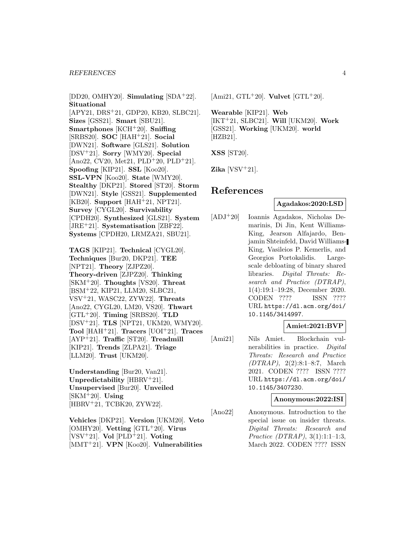#### *REFERENCES* 4

[DD20, OMHY20]. **Simulating** [SDA<sup>+</sup>22]. **Situational** [APY21, DRS<sup>+</sup>21, GDP20, KB20, SLBC21]. **Sizes** [GSS21]. **Smart** [SBU21]. **Smartphones** [KCH<sup>+</sup>20]. **Sniffing** [SRBS20]. **SOC** [HAH<sup>+</sup>21]. **Social** [DWN21]. **Software** [GLS21]. **Solution** [DSV<sup>+</sup>21]. **Sorry** [WMY20]. **Special** [Ano22, CV20, Met21, PLD<sup>+</sup>20, PLD<sup>+</sup>21]. **Spoofing** [KIP21]. **SSL** [Koo20]. **SSL-VPN** [Koo20]. **State** [WMY20]. **Stealthy** [DKP21]. **Stored** [ST20]. **Storm** [DWN21]. **Style** [GSS21]. **Supplemented** [KB20]. **Support** [HAH<sup>+</sup>21, NPT21]. **Survey** [CYGL20]. **Survivability** [CPDH20]. **Synthesized** [GLS21]. **System** [JRE<sup>+</sup>21]. **Systematisation** [ZBF22]. **Systems** [CPDH20, LRMZA21, SBU21].

**TAGS** [KIP21]. **Technical** [CYGL20]. **Techniques** [Bur20, DKP21]. **TEE** [NPT21]. **Theory** [ZJPZ20]. **Theory-driven** [ZJPZ20]. **Thinking** [SKM<sup>+</sup>20]. **Thoughts** [VS20]. **Threat** [BSM<sup>+</sup>22, KIP21, LLM20, SLBC21, VSV<sup>+</sup>21, WASC22, ZYW22]. **Threats** [Ano22, CYGL20, LM20, VS20]. **Thwart** [GTL<sup>+</sup>20]. **Timing** [SRBS20]. **TLD** [DSV<sup>+</sup>21]. **TLS** [NPT21, UKM20, WMY20]. **Tool** [HAH<sup>+</sup>21]. **Tracers** [UOI<sup>+</sup>21]. **Traces** [AYP<sup>+</sup>21]. **Traffic** [ST20]. **Treadmill** [KIP21]. **Trends** [ZLPA21]. **Triage** [LLM20]. **Trust** [UKM20].

**Understanding** [Bur20, Van21]. **Unpredictability** [HBRV<sup>+</sup>21]. **Unsupervised** [Bur20]. **Unveiled** [SKM<sup>+</sup>20]. **Using** [HBRV<sup>+</sup>21, TCBK20, ZYW22].

**Vehicles** [DKP21]. **Version** [UKM20]. **Veto** [OMHY20]. **Vetting** [GTL<sup>+</sup>20]. **Virus** [VSV<sup>+</sup>21]. **Vol** [PLD<sup>+</sup>21]. **Voting** [MMT<sup>+</sup>21]. **VPN** [Koo20]. **Vulnerabilities**

[Ami21, GTL<sup>+</sup>20]. **Vulvet** [GTL<sup>+</sup>20].

**Wearable** [KIP21]. **Web** [IKT<sup>+</sup>21, SLBC21]. **Will** [UKM20]. **Work** [GSS21]. **Working** [UKM20]. **world** [HZB21].

**XSS** [ST20].

**Zika** [VSV<sup>+</sup>21].

# **References**

#### **Agadakos:2020:LSD**

[ADJ<sup>+</sup>20] Ioannis Agadakos, Nicholas Demarinis, Di Jin, Kent Williams-King, Jearson Alfajardo, Benjamin Shteinfeld, David Williams-King, Vasileios P. Kemerlis, and Georgios Portokalidis. Largescale debloating of binary shared libraries. Digital Threats: Research and Practice (DTRAP), 1(4):19:1–19:28, December 2020. CODEN ???? ISSN ???? URL https://dl.acm.org/doi/ 10.1145/3414997.

#### **Amiet:2021:BVP**

[Ami21] Nils Amiet. Blockchain vulnerabilities in practice. Digital Threats: Research and Practice (DTRAP), 2(2):8:1–8:7, March 2021. CODEN ???? ISSN ???? URL https://dl.acm.org/doi/ 10.1145/3407230.

#### **Anonymous:2022:ISI**

[Ano22] Anonymous. Introduction to the special issue on insider threats. Digital Threats: Research and Practice (DTRAP), 3(1):1:1–1:3, March 2022. CODEN ???? ISSN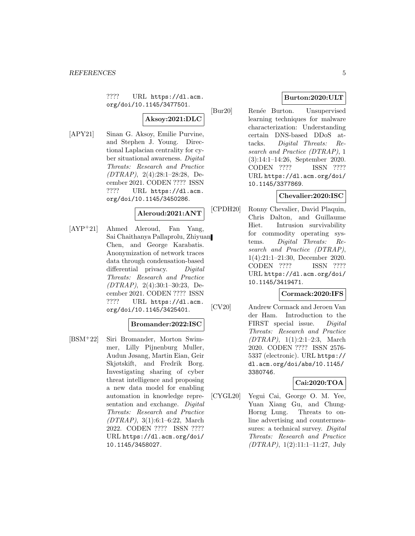???? URL https://dl.acm. org/doi/10.1145/3477501.

# **Aksoy:2021:DLC**

[APY21] Sinan G. Aksoy, Emilie Purvine, and Stephen J. Young. Directional Laplacian centrality for cyber situational awareness. Digital Threats: Research and Practice (DTRAP), 2(4):28:1–28:28, December 2021. CODEN ???? ISSN ???? URL https://dl.acm. org/doi/10.1145/3450286.

# **Aleroud:2021:ANT**

[AYP<sup>+</sup>21] Ahmed Aleroud, Fan Yang, Sai Chaithanya Pallaprolu, Zhiyuan Chen, and George Karabatis. Anonymization of network traces data through condensation-based differential privacy. Digital Threats: Research and Practice (DTRAP), 2(4):30:1–30:23, December 2021. CODEN ???? ISSN ???? URL https://dl.acm. org/doi/10.1145/3425401.

#### **Bromander:2022:ISC**

[BSM<sup>+</sup>22] Siri Bromander, Morton Swimmer, Lilly Pijnenburg Muller, Audun Jøsang, Martin Eian, Geir Skjøtskift, and Fredrik Borg. Investigating sharing of cyber threat intelligence and proposing a new data model for enabling automation in knowledge representation and exchange. Digital Threats: Research and Practice (DTRAP), 3(1):6:1–6:22, March 2022. CODEN ???? ISSN ???? URL https://dl.acm.org/doi/ 10.1145/3458027.

# **Burton:2020:ULT**

[Bur20] Renée Burton. Unsupervised learning techniques for malware characterization: Understanding certain DNS-based DDoS attacks. Digital Threats: Research and Practice (DTRAP), 1 (3):14:1–14:26, September 2020. CODEN ???? ISSN ???? URL https://dl.acm.org/doi/ 10.1145/3377869.

# **Chevalier:2020:ISC**

[CPDH20] Ronny Chevalier, David Plaquin, Chris Dalton, and Guillaume Hiet. Intrusion survivability for commodity operating systems. Digital Threats: Research and Practice (DTRAP), 1(4):21:1–21:30, December 2020. CODEN ???? ISSN ???? URL https://dl.acm.org/doi/ 10.1145/3419471.

# **Cormack:2020:IFS**

[CV20] Andrew Cormack and Jeroen Van der Ham. Introduction to the FIRST special issue. Digital Threats: Research and Practice (DTRAP), 1(1):2:1–2:3, March 2020. CODEN ???? ISSN 2576- 5337 (electronic). URL https:// dl.acm.org/doi/abs/10.1145/ 3380746.

# **Cai:2020:TOA**

[CYGL20] Yegui Cai, George O. M. Yee, Yuan Xiang Gu, and Chung-Horng Lung. Threats to online advertising and countermeasures: a technical survey. Digital Threats: Research and Practice (DTRAP), 1(2):11:1–11:27, July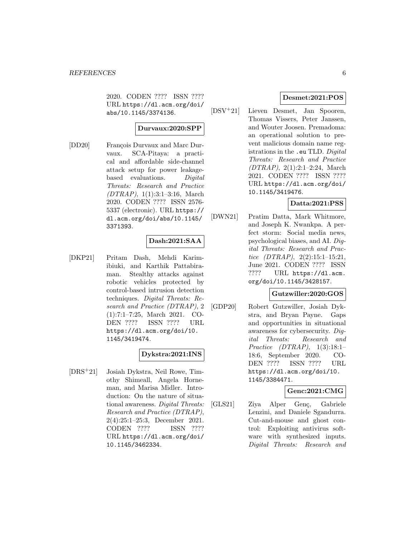2020. CODEN ???? ISSN ???? URL https://dl.acm.org/doi/ abs/10.1145/3374136.

#### **Durvaux:2020:SPP**

[DD20] François Durvaux and Marc Durvaux. SCA-Pitaya: a practical and affordable side-channel attack setup for power leakagebased evaluations. Digital Threats: Research and Practice  $(DTRAP), 1(1):3:1-3:16, March$ 2020. CODEN ???? ISSN 2576- 5337 (electronic). URL https:// dl.acm.org/doi/abs/10.1145/ 3371393.

#### **Dash:2021:SAA**

[DKP21] Pritam Dash, Mehdi Karimibiuki, and Karthik Pattabiraman. Stealthy attacks against robotic vehicles protected by control-based intrusion detection techniques. Digital Threats: Research and Practice (DTRAP), 2 (1):7:1–7:25, March 2021. CO-DEN ???? ISSN ???? URL https://dl.acm.org/doi/10. 1145/3419474.

# **Dykstra:2021:INS**

[DRS<sup>+</sup>21] Josiah Dykstra, Neil Rowe, Timothy Shimeall, Angela Horneman, and Marisa Midler. Introduction: On the nature of situational awareness. Digital Threats: Research and Practice (DTRAP), 2(4):25:1–25:3, December 2021. CODEN ???? ISSN ???? URL https://dl.acm.org/doi/ 10.1145/3462334.

#### **Desmet:2021:POS**

[DSV<sup>+</sup>21] Lieven Desmet, Jan Spooren, Thomas Vissers, Peter Janssen, and Wouter Joosen. Premadoma: an operational solution to prevent malicious domain name registrations in the .eu TLD. Digital Threats: Research and Practice (DTRAP), 2(1):2:1–2:24, March 2021. CODEN ???? ISSN ???? URL https://dl.acm.org/doi/ 10.1145/3419476.

# **Datta:2021:PSS**

[DWN21] Pratim Datta, Mark Whitmore, and Joseph K. Nwankpa. A perfect storm: Social media news, psychological biases, and AI. Digital Threats: Research and Practice  $(DTRAP), 2(2):15:1-15:21,$ June 2021. CODEN ???? ISSN ???? URL https://dl.acm. org/doi/10.1145/3428157.

#### **Gutzwiller:2020:GOS**

[GDP20] Robert Gutzwiller, Josiah Dykstra, and Bryan Payne. Gaps and opportunities in situational awareness for cybersecurity. Digital Threats: Research and Practice (DTRAP), 1(3):18:1– 18:6, September 2020. CO-DEN ???? ISSN ???? URL https://dl.acm.org/doi/10. 1145/3384471.

#### **Genc:2021:CMG**

[GLS21] Ziya Alper Genç, Gabriele Lenzini, and Daniele Sgandurra. Cut-and-mouse and ghost control: Exploiting antivirus software with synthesized inputs. Digital Threats: Research and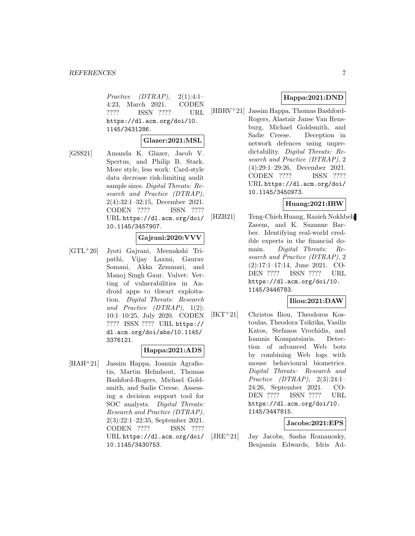Practice  $(DTRAP)$ ,  $2(1):4:1-$ 4:23, March 2021. CODEN ???? ISSN ???? URL https://dl.acm.org/doi/10. 1145/3431286.

#### **Glazer:2021:MSL**

[GSS21] Amanda K. Glazer, Jacob V. Spertus, and Philip B. Stark. More style, less work: Card-style data decrease risk-limiting audit sample sizes. Digital Threats: Research and Practice (DTRAP), 2(4):32:1–32:15, December 2021. CODEN ???? ISSN ???? URL https://dl.acm.org/doi/ 10.1145/3457907.

#### **Gajrani:2020:VVV**

[GTL<sup>+</sup>20] Jyoti Gajrani, Meenakshi Tripathi, Vijay Laxmi, Gaurav Somani, Akka Zemmari, and Manoj Singh Gaur. Vulvet: Vetting of vulnerabilities in Android apps to thwart exploitation. Digital Threats: Research and Practice (DTRAP), 1(2): 10:1–10:25, July 2020. CODEN ???? ISSN ???? URL https:// dl.acm.org/doi/abs/10.1145/ 3376121.

#### **Happa:2021:ADS**

[HAH<sup>+</sup>21] Jassim Happa, Ioannis Agrafiotis, Martin Helmhout, Thomas Bashford-Rogers, Michael Goldsmith, and Sadie Creese. Assessing a decision support tool for SOC analysts. Digital Threats: Research and Practice (DTRAP), 2(3):22:1–22:35, September 2021. CODEN ???? ISSN ???? URL https://dl.acm.org/doi/ 10.1145/3430753.

# **Happa:2021:DND**

[HBRV<sup>+</sup>21] Jassim Happa, Thomas Bashford-Rogers, Alastair Janse Van Rensburg, Michael Goldsmith, and Sadie Creese. Deception in network defences using unpredictability. Digital Threats: Research and Practice (DTRAP), 2 (4):29:1–29:26, December 2021. CODEN ???? ISSN ???? URL https://dl.acm.org/doi/ 10.1145/3450973.

#### **Huang:2021:IRW**

[HZB21] Teng-Chieh Huang, Razieh Nokhbeh Zaeem, and K. Suzanne Barber. Identifying real-world credible experts in the financial domain. Digital Threats: Research and Practice (DTRAP), 2 (2):17:1–17:14, June 2021. CO-DEN ???? ISSN ???? URL https://dl.acm.org/doi/10. 1145/3446783.

# **Iliou:2021:DAW**

[IKT<sup>+</sup>21] Christos Iliou, Theodoros Kostoulas, Theodora Tsikrika, Vasilis Katos, Stefanos Vrochidis, and Ioannis Kompatsiaris. Detection of advanced Web bots by combining Web logs with mouse behavioural biometrics. Digital Threats: Research and Practice (DTRAP), 2(3):24:1– 24:26, September 2021. CO-DEN ???? ISSN ???? URL https://dl.acm.org/doi/10. 1145/3447815.

#### **Jacobs:2021:EPS**

[JRE<sup>+</sup>21] Jay Jacobs, Sasha Romanosky, Benjamin Edwards, Idris Ad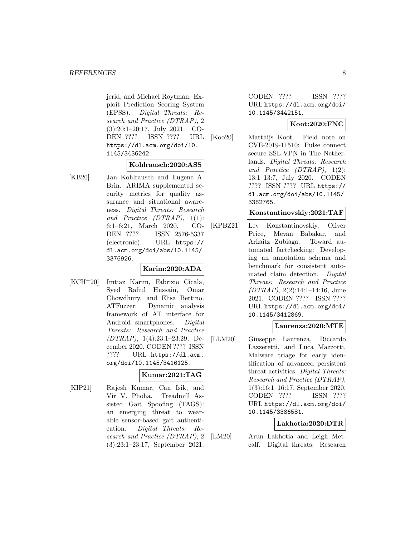jerid, and Michael Roytman. Exploit Prediction Scoring System (EPSS). Digital Threats: Research and Practice (DTRAP), 2 (3):20:1–20:17, July 2021. CO-DEN ???? ISSN ???? URL https://dl.acm.org/doi/10. 1145/3436242.

# **Kohlrausch:2020:ASS**

[KB20] Jan Kohlrausch and Eugene A. Brin. ARIMA supplemented security metrics for quality assurance and situational awareness. Digital Threats: Research and Practice  $(DTRAP)$ , 1(1): 6:1–6:21, March 2020. CO-DEN ???? ISSN 2576-5337 (electronic). URL https:// dl.acm.org/doi/abs/10.1145/ 3376926.

# **Karim:2020:ADA**

[KCH<sup>+</sup>20] Imtiaz Karim, Fabrizio Cicala, Syed Rafiul Hussain, Omar Chowdhury, and Elisa Bertino. ATFuzzer: Dynamic analysis framework of AT interface for Android smartphones. Digital Threats: Research and Practice (DTRAP), 1(4):23:1–23:29, December 2020. CODEN ???? ISSN ???? URL https://dl.acm. org/doi/10.1145/3416125.

# **Kumar:2021:TAG**

[KIP21] Rajesh Kumar, Can Isik, and Vir V. Phoha. Treadmill Assisted Gait Spoofing (TAGS): an emerging threat to wearable sensor-based gait authentication. Digital Threats: Research and Practice (DTRAP), 2 (3):23:1–23:17, September 2021.

CODEN ???? ISSN ???? URL https://dl.acm.org/doi/ 10.1145/3442151.

# **Koot:2020:FNC**

[Koo20] Matthijs Koot. Field note on CVE-2019-11510: Pulse connect secure SSL-VPN in The Netherlands. Digital Threats: Research and Practice (DTRAP), 1(2): 13:1–13:7, July 2020. CODEN ???? ISSN ???? URL https:// dl.acm.org/doi/abs/10.1145/ 3382765.

#### **Konstantinovskiy:2021:TAF**

[KPBZ21] Lev Konstantinovskiy, Oliver Price, Mevan Babakar, and Arkaitz Zubiaga. Toward automated factchecking: Developing an annotation schema and benchmark for consistent automated claim detection. Digital Threats: Research and Practice (DTRAP), 2(2):14:1–14:16, June 2021. CODEN ???? ISSN ???? URL https://dl.acm.org/doi/ 10.1145/3412869.

# **Laurenza:2020:MTE**

[LLM20] Giuseppe Laurenza, Riccardo Lazzeretti, and Luca Mazzotti. Malware triage for early identification of advanced persistent threat activities. Digital Threats: Research and Practice (DTRAP), 1(3):16:1–16:17, September 2020. CODEN ???? ISSN ???? URL https://dl.acm.org/doi/ 10.1145/3386581.

#### **Lakhotia:2020:DTR**

[LM20] Arun Lakhotia and Leigh Metcalf. Digital threats: Research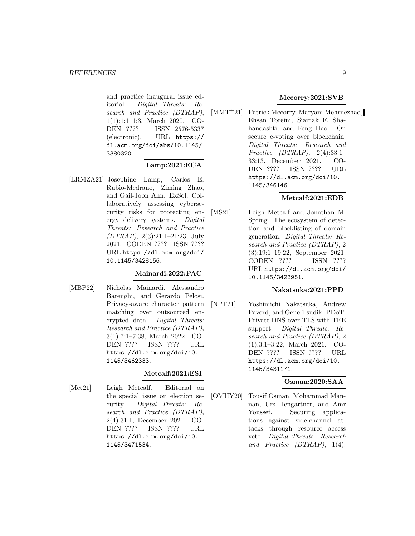and practice inaugural issue editorial. Digital Threats: Research and Practice (DTRAP), 1(1):1:1–1:3, March 2020. CO-DEN ???? ISSN 2576-5337 (electronic). URL https:// dl.acm.org/doi/abs/10.1145/ 3380320.

# **Lamp:2021:ECA**

[LRMZA21] Josephine Lamp, Carlos E. Rubio-Medrano, Ziming Zhao, and Gail-Joon Ahn. ExSol: Collaboratively assessing cybersecurity risks for protecting energy delivery systems. Digital Threats: Research and Practice (DTRAP), 2(3):21:1–21:23, July 2021. CODEN ???? ISSN ???? URL https://dl.acm.org/doi/ 10.1145/3428156.

# **Mainardi:2022:PAC**

[MBP22] Nicholas Mainardi, Alessandro Barenghi, and Gerardo Pelosi. Privacy-aware character pattern matching over outsourced encrypted data. Digital Threats: Research and Practice (DTRAP), 3(1):7:1–7:38, March 2022. CO-DEN ???? ISSN ???? URL https://dl.acm.org/doi/10. 1145/3462333.

#### **Metcalf:2021:ESI**

[Met21] Leigh Metcalf. Editorial on the special issue on election security. Digital Threats: Research and Practice (DTRAP), 2(4):31:1, December 2021. CO-DEN ???? ISSN ???? URL https://dl.acm.org/doi/10. 1145/3471534.

# **Mccorry:2021:SVB**

[MMT<sup>+</sup>21] Patrick Mccorry, Maryam Mehrnezhad, Ehsan Toreini, Siamak F. Shahandashti, and Feng Hao. On secure e-voting over blockchain. Digital Threats: Research and Practice (DTRAP), 2(4):33:1– 33:13, December 2021. CO-DEN ???? ISSN ???? URL https://dl.acm.org/doi/10. 1145/3461461.

# **Metcalf:2021:EDB**

[MS21] Leigh Metcalf and Jonathan M. Spring. The ecosystem of detection and blocklisting of domain generation. Digital Threats: Research and Practice (DTRAP), 2 (3):19:1–19:22, September 2021. CODEN ???? ISSN ???? URL https://dl.acm.org/doi/ 10.1145/3423951.

# **Nakatsuka:2021:PPD**

[NPT21] Yoshimichi Nakatsuka, Andrew Paverd, and Gene Tsudik. PDoT: Private DNS-over-TLS with TEE support. Digital Threats: Research and Practice (DTRAP), 2 (1):3:1–3:22, March 2021. CO-DEN ???? ISSN ???? URL https://dl.acm.org/doi/10. 1145/3431171.

#### **Osman:2020:SAA**

[OMHY20] Tousif Osman, Mohammad Mannan, Urs Hengartner, and Amr Youssef. Securing applications against side-channel attacks through resource access veto. Digital Threats: Research and Practice  $(DTRAP)$ , 1(4):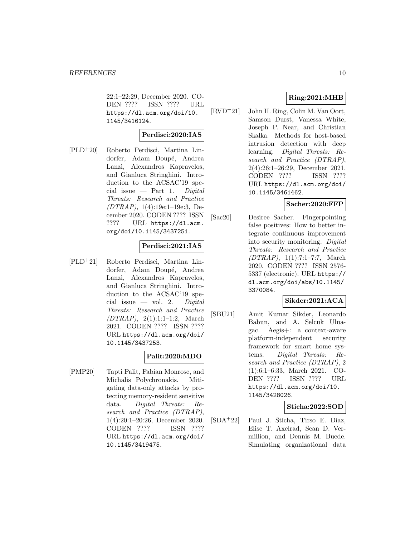22:1–22:29, December 2020. CO-DEN ???? ISSN ???? URL https://dl.acm.org/doi/10. 1145/3416124.

#### **Perdisci:2020:IAS**

[PLD<sup>+</sup>20] Roberto Perdisci, Martina Lindorfer, Adam Doupé, Andrea Lanzi, Alexandros Kapravelos, and Gianluca Stringhini. Introduction to the ACSAC'19 special issue  $-$  Part 1. Digital Threats: Research and Practice  $(DTRAP), 1(4):19e:1-19e:3, De$ cember 2020. CODEN ???? ISSN ???? URL https://dl.acm. org/doi/10.1145/3437251.

# **Perdisci:2021:IAS**

[PLD<sup>+</sup>21] Roberto Perdisci, Martina Lindorfer, Adam Doupé, Andrea Lanzi, Alexandros Kapravelos, and Gianluca Stringhini. Introduction to the ACSAC'19 special issue — vol. 2. Digital Threats: Research and Practice (DTRAP), 2(1):1:1–1:2, March 2021. CODEN ???? ISSN ???? URL https://dl.acm.org/doi/ 10.1145/3437253.

# **Palit:2020:MDO**

[PMP20] Tapti Palit, Fabian Monrose, and Michalis Polychronakis. Mitigating data-only attacks by protecting memory-resident sensitive data. Digital Threats: Research and Practice (DTRAP), 1(4):20:1–20:26, December 2020. CODEN ???? ISSN ???? URL https://dl.acm.org/doi/ 10.1145/3419475.

# **Ring:2021:MHB**

[RVD<sup>+</sup>21] John H. Ring, Colin M. Van Oort, Samson Durst, Vanessa White, Joseph P. Near, and Christian Skalka. Methods for host-based intrusion detection with deep learning. Digital Threats: Research and Practice (DTRAP), 2(4):26:1–26:29, December 2021. CODEN ???? ISSN ???? URL https://dl.acm.org/doi/ 10.1145/3461462.

#### **Sacher:2020:FFP**

[Sac20] Desiree Sacher. Fingerpointing false positives: How to better integrate continuous improvement into security monitoring. Digital Threats: Research and Practice (DTRAP), 1(1):7:1–7:7, March 2020. CODEN ???? ISSN 2576- 5337 (electronic). URL https:// dl.acm.org/doi/abs/10.1145/ 3370084.

# **Sikder:2021:ACA**

[SBU21] Amit Kumar Sikder, Leonardo Babun, and A. Selcuk Uluagac. Aegis+: a context-aware platform-independent security framework for smart home systems. Digital Threats: Research and Practice (DTRAP), 2 (1):6:1–6:33, March 2021. CO-DEN ???? ISSN ???? URL https://dl.acm.org/doi/10. 1145/3428026.

#### **Sticha:2022:SOD**

[SDA<sup>+</sup>22] Paul J. Sticha, Tirso E. Diaz, Elise T. Axelrad, Sean D. Vermillion, and Dennis M. Buede. Simulating organizational data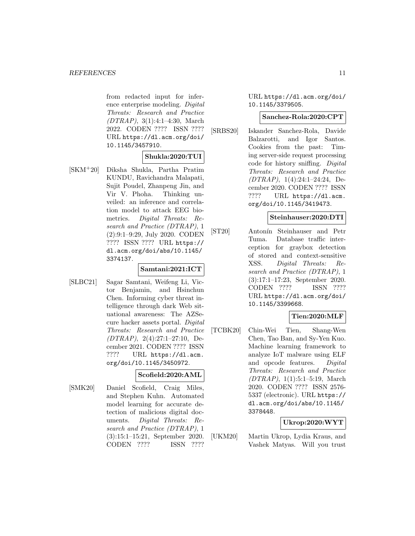from redacted input for inference enterprise modeling. Digital Threats: Research and Practice (DTRAP), 3(1):4:1–4:30, March 2022. CODEN ???? ISSN ???? URL https://dl.acm.org/doi/ 10.1145/3457910.

# **Shukla:2020:TUI**

[SKM<sup>+</sup>20] Diksha Shukla, Partha Pratim KUNDU, Ravichandra Malapati, Sujit Poudel, Zhanpeng Jin, and Vir V. Phoha. Thinking unveiled: an inference and correlation model to attack EEG biometrics. Digital Threats: Research and Practice (DTRAP), 1 (2):9:1–9:29, July 2020. CODEN ???? ISSN ???? URL https:// dl.acm.org/doi/abs/10.1145/ 3374137.

#### **Samtani:2021:ICT**

[SLBC21] Sagar Samtani, Weifeng Li, Victor Benjamin, and Hsinchun Chen. Informing cyber threat intelligence through dark Web situational awareness: The AZSecure hacker assets portal. Digital Threats: Research and Practice (DTRAP), 2(4):27:1–27:10, December 2021. CODEN ???? ISSN ???? URL https://dl.acm. org/doi/10.1145/3450972.

# **Scofield:2020:AML**

[SMK20] Daniel Scofield, Craig Miles, and Stephen Kuhn. Automated model learning for accurate detection of malicious digital documents. Digital Threats: Research and Practice (DTRAP), 1 (3):15:1–15:21, September 2020. CODEN ???? ISSN ????

URL https://dl.acm.org/doi/ 10.1145/3379505.

#### **Sanchez-Rola:2020:CPT**

[SRBS20] Iskander Sanchez-Rola, Davide Balzarotti, and Igor Santos. Cookies from the past: Timing server-side request processing code for history sniffing. Digital Threats: Research and Practice (DTRAP), 1(4):24:1–24:24, December 2020. CODEN ???? ISSN ???? URL https://dl.acm. org/doi/10.1145/3419473.

#### **Steinhauser:2020:DTI**

[ST20] Antonín Steinhauser and Petr Tuma. Database traffic interception for graybox detection of stored and context-sensitive XSS. Digital Threats: Research and Practice (DTRAP), 1 (3):17:1–17:23, September 2020. CODEN ???? ISSN ???? URL https://dl.acm.org/doi/ 10.1145/3399668.

# **Tien:2020:MLF**

[TCBK20] Chin-Wei Tien, Shang-Wen Chen, Tao Ban, and Sy-Yen Kuo. Machine learning framework to analyze IoT malware using ELF and opcode features. Digital Threats: Research and Practice (DTRAP), 1(1):5:1–5:19, March 2020. CODEN ???? ISSN 2576- 5337 (electronic). URL https:// dl.acm.org/doi/abs/10.1145/ 3378448.

# **Ukrop:2020:WYT**

[UKM20] Martin Ukrop, Lydia Kraus, and Vashek Matyas. Will you trust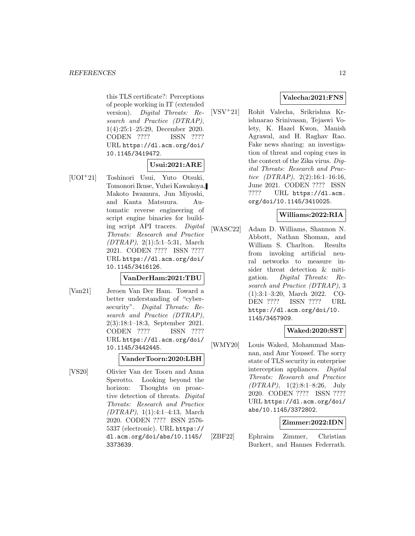this TLS certificate?: Perceptions of people working in IT (extended version). Digital Threats: Research and Practice (DTRAP), 1(4):25:1–25:29, December 2020. CODEN ???? ISSN ???? URL https://dl.acm.org/doi/ 10.1145/3419472.

# **Usui:2021:ARE**

[UOI<sup>+</sup>21] Toshinori Usui, Yuto Otsuki, Tomonori Ikuse, Yuhei Kawakoya, Makoto Iwamura, Jun Miyoshi, and Kanta Matsuura. Automatic reverse engineering of script engine binaries for building script API tracers. Digital Threats: Research and Practice (DTRAP), 2(1):5:1–5:31, March 2021. CODEN ???? ISSN ???? URL https://dl.acm.org/doi/ 10.1145/3416126.

# **VanDerHam:2021:TBU**

[Van21] Jeroen Van Der Ham. Toward a better understanding of "cybersecurity". Digital Threats: Research and Practice (DTRAP), 2(3):18:1–18:3, September 2021. CODEN ???? ISSN ???? URL https://dl.acm.org/doi/ 10.1145/3442445.

#### **VanderToorn:2020:LBH**

[VS20] Olivier Van der Toorn and Anna Sperotto. Looking beyond the horizon: Thoughts on proactive detection of threats. Digital Threats: Research and Practice (DTRAP), 1(1):4:1–4:13, March 2020. CODEN ???? ISSN 2576- 5337 (electronic). URL https:// dl.acm.org/doi/abs/10.1145/ 3373639.

# **Valecha:2021:FNS**

[VSV<sup>+</sup>21] Rohit Valecha, Srikrishna Krishnarao Srinivasan, Tejaswi Volety, K. Hazel Kwon, Manish Agrawal, and H. Raghav Rao. Fake news sharing: an investigation of threat and coping cues in the context of the Zika virus. Digital Threats: Research and Practice  $(DTRAP)$ ,  $2(2):16:1-16:16$ , June 2021. CODEN ???? ISSN ???? URL https://dl.acm. org/doi/10.1145/3410025.

#### **Williams:2022:RIA**

[WASC22] Adam D. Williams, Shannon N. Abbott, Nathan Shoman, and William S. Charlton. Results from invoking artificial neural networks to measure insider threat detection & mitigation. Digital Threats: Research and Practice (DTRAP), 3 (1):3:1–3:20, March 2022. CO-DEN ???? ISSN ???? URL https://dl.acm.org/doi/10. 1145/3457909.

#### **Waked:2020:SST**

[WMY20] Louis Waked, Mohammad Mannan, and Amr Youssef. The sorry state of TLS security in enterprise interception appliances. Digital Threats: Research and Practice  $(DTRAP), 1(2):8:1-8:26, July$ 2020. CODEN ???? ISSN ???? URL https://dl.acm.org/doi/ abs/10.1145/3372802.

#### **Zimmer:2022:IDN**

[ZBF22] Ephraim Zimmer, Christian Burkert, and Hannes Federrath.